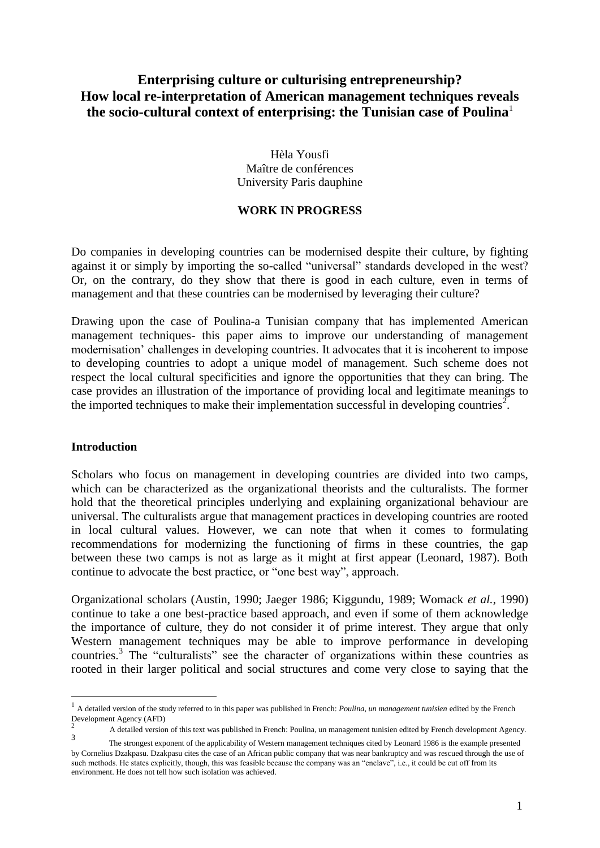# **Enterprising culture or culturising entrepreneurship? How local re-interpretation of American management techniques reveals the socio-cultural context of enterprising: the Tunisian case of Poulina**<sup>1</sup>

Hèla Yousfi Maître de conférences University Paris dauphine

#### **WORK IN PROGRESS**

Do companies in developing countries can be modernised despite their culture, by fighting against it or simply by importing the so-called "universal" standards developed in the west? Or, on the contrary, do they show that there is good in each culture, even in terms of management and that these countries can be modernised by leveraging their culture?

Drawing upon the case of Poulina-a Tunisian company that has implemented American management techniques- this paper aims to improve our understanding of management modernisation' challenges in developing countries. It advocates that it is incoherent to impose to developing countries to adopt a unique model of management. Such scheme does not respect the local cultural specificities and ignore the opportunities that they can bring. The case provides an illustration of the importance of providing local and legitimate meanings to the imported techniques to make their implementation successful in developing countries<sup>2</sup>.

#### **Introduction**

1

Scholars who focus on management in developing countries are divided into two camps, which can be characterized as the organizational theorists and the culturalists. The former hold that the theoretical principles underlying and explaining organizational behaviour are universal. The culturalists argue that management practices in developing countries are rooted in local cultural values. However, we can note that when it comes to formulating recommendations for modernizing the functioning of firms in these countries, the gap between these two camps is not as large as it might at first appear (Leonard, 1987). Both continue to advocate the best practice, or "one best way", approach.

Organizational scholars (Austin, 1990; Jaeger 1986; Kiggundu, 1989; Womack *et al.*, 1990) continue to take a one best-practice based approach, and even if some of them acknowledge the importance of culture, they do not consider it of prime interest. They argue that only Western management techniques may be able to improve performance in developing countries.<sup>3</sup> The "culturalists" see the character of organizations within these countries as rooted in their larger political and social structures and come very close to saying that the

<sup>&</sup>lt;sup>1</sup> A detailed version of the study referred to in this paper was published in French: *Poulina, un management tunisien* edited by the French Development Agency (AFD) 2

A detailed version of this text was published in French: Poulina, un management tunisien edited by French development Agency. 3

The strongest exponent of the applicability of Western management techniques cited by Leonard 1986 is the example presented by Cornelius Dzakpasu. Dzakpasu cites the case of an African public company that was near bankruptcy and was rescued through the use of such methods. He states explicitly, though, this was feasible because the company was an "enclave", i.e., it could be cut off from its environment. He does not tell how such isolation was achieved.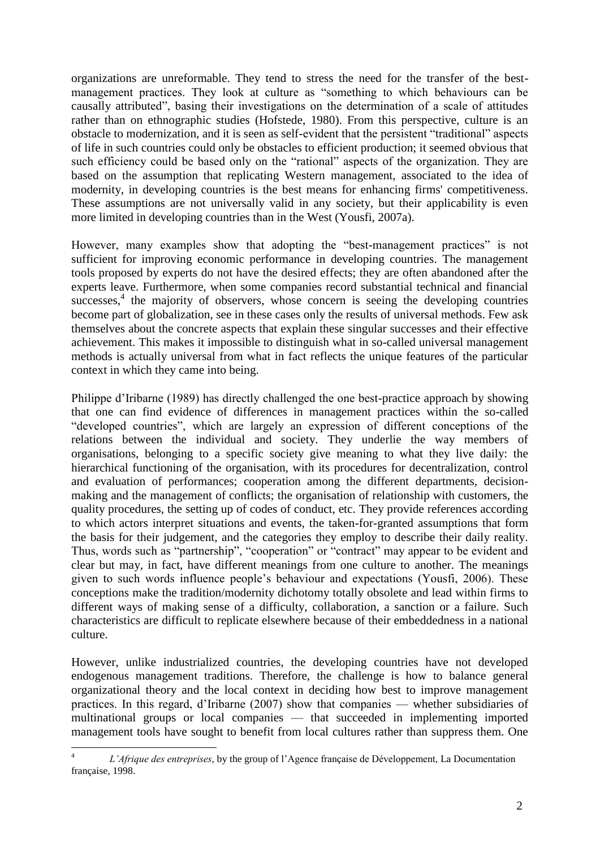organizations are unreformable. They tend to stress the need for the transfer of the bestmanagement practices. They look at culture as "something to which behaviours can be causally attributed", basing their investigations on the determination of a scale of attitudes rather than on ethnographic studies (Hofstede, 1980). From this perspective, culture is an obstacle to modernization, and it is seen as self-evident that the persistent "traditional" aspects of life in such countries could only be obstacles to efficient production; it seemed obvious that such efficiency could be based only on the "rational" aspects of the organization. They are based on the assumption that replicating Western management, associated to the idea of modernity, in developing countries is the best means for enhancing firms' competitiveness. These assumptions are not universally valid in any society, but their applicability is even more limited in developing countries than in the West (Yousfi, 2007a).

However, many examples show that adopting the "best-management practices" is not sufficient for improving economic performance in developing countries. The management tools proposed by experts do not have the desired effects; they are often abandoned after the experts leave. Furthermore, when some companies record substantial technical and financial successes,<sup>4</sup> the majority of observers, whose concern is seeing the developing countries become part of globalization, see in these cases only the results of universal methods. Few ask themselves about the concrete aspects that explain these singular successes and their effective achievement. This makes it impossible to distinguish what in so-called universal management methods is actually universal from what in fact reflects the unique features of the particular context in which they came into being.

Philippe d'Iribarne (1989) has directly challenged the one best-practice approach by showing that one can find evidence of differences in management practices within the so-called "developed countries", which are largely an expression of different conceptions of the relations between the individual and society. They underlie the way members of organisations, belonging to a specific society give meaning to what they live daily: the hierarchical functioning of the organisation, with its procedures for decentralization, control and evaluation of performances; cooperation among the different departments, decisionmaking and the management of conflicts; the organisation of relationship with customers, the quality procedures, the setting up of codes of conduct, etc. They provide references according to which actors interpret situations and events, the taken-for-granted assumptions that form the basis for their judgement, and the categories they employ to describe their daily reality. Thus, words such as "partnership", "cooperation" or "contract" may appear to be evident and clear but may, in fact, have different meanings from one culture to another. The meanings given to such words influence people's behaviour and expectations (Yousfi, 2006). These conceptions make the tradition/modernity dichotomy totally obsolete and lead within firms to different ways of making sense of a difficulty, collaboration, a sanction or a failure. Such characteristics are difficult to replicate elsewhere because of their embeddedness in a national culture.

However, unlike industrialized countries, the developing countries have not developed endogenous management traditions. Therefore, the challenge is how to balance general organizational theory and the local context in deciding how best to improve management practices. In this regard, d'Iribarne (2007) show that companies — whether subsidiaries of multinational groups or local companies — that succeeded in implementing imported management tools have sought to benefit from local cultures rather than suppress them. One

<u>.</u>

<sup>4</sup> *L'Afrique des entreprises*, by the group of l'Agence française de Développement, La Documentation française, 1998.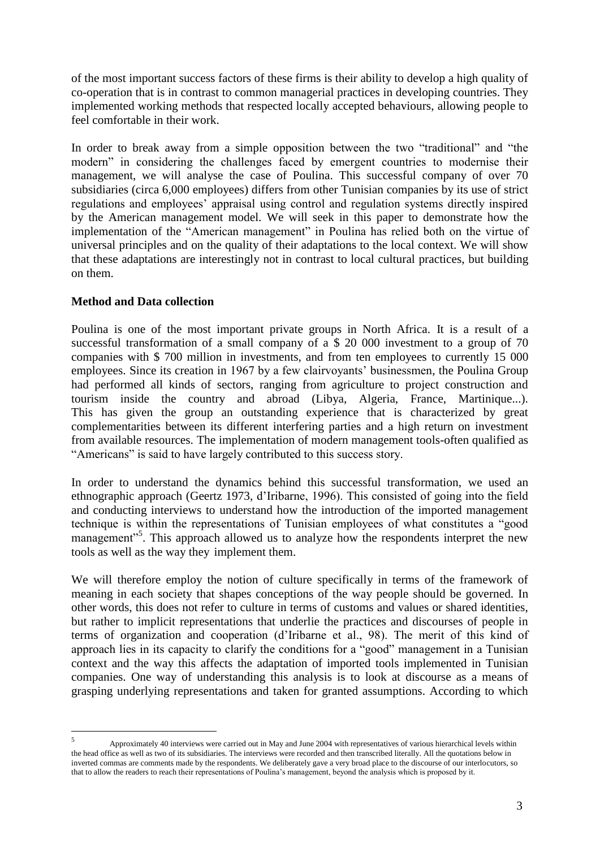of the most important success factors of these firms is their ability to develop a high quality of co-operation that is in contrast to common managerial practices in developing countries. They implemented working methods that respected locally accepted behaviours, allowing people to feel comfortable in their work.

In order to break away from a simple opposition between the two "traditional" and "the modern" in considering the challenges faced by emergent countries to modernise their management, we will analyse the case of Poulina. This successful company of over 70 subsidiaries (circa 6,000 employees) differs from other Tunisian companies by its use of strict regulations and employees' appraisal using control and regulation systems directly inspired by the American management model. We will seek in this paper to demonstrate how the implementation of the "American management" in Poulina has relied both on the virtue of universal principles and on the quality of their adaptations to the local context. We will show that these adaptations are interestingly not in contrast to local cultural practices, but building on them.

### **Method and Data collection**

Poulina is one of the most important private groups in North Africa. It is a result of a successful transformation of a small company of a \$ 20 000 investment to a group of 70 companies with \$ 700 million in investments, and from ten employees to currently 15 000 employees. Since its creation in 1967 by a few clairvoyants' businessmen, the Poulina Group had performed all kinds of sectors, ranging from agriculture to project construction and tourism inside the country and abroad (Libya, Algeria, France, Martinique...). This has given the group an outstanding experience that is characterized by great complementarities between its different interfering parties and a high return on investment from available resources. The implementation of modern management tools-often qualified as "Americans" is said to have largely contributed to this success story.

In order to understand the dynamics behind this successful transformation, we used an ethnographic approach (Geertz 1973, d'Iribarne, 1996). This consisted of going into the field and conducting interviews to understand how the introduction of the imported management technique is within the representations of Tunisian employees of what constitutes a "good management"<sup>5</sup>. This approach allowed us to analyze how the respondents interpret the new tools as well as the way they implement them.

We will therefore employ the notion of culture specifically in terms of the framework of meaning in each society that shapes conceptions of the way people should be governed. In other words, this does not refer to culture in terms of customs and values or shared identities, but rather to implicit representations that underlie the practices and discourses of people in terms of organization and cooperation (d'Iribarne et al., 98). The merit of this kind of approach lies in its capacity to clarify the conditions for a "good" management in a Tunisian context and the way this affects the adaptation of imported tools implemented in Tunisian companies. One way of understanding this analysis is to look at discourse as a means of grasping underlying representations and taken for granted assumptions. According to which

 $\frac{1}{5}$ Approximately 40 interviews were carried out in May and June 2004 with representatives of various hierarchical levels within the head office as well as two of its subsidiaries. The interviews were recorded and then transcribed literally. All the quotations below in inverted commas are comments made by the respondents. We deliberately gave a very broad place to the discourse of our interlocutors, so that to allow the readers to reach their representations of Poulina's management, beyond the analysis which is proposed by it.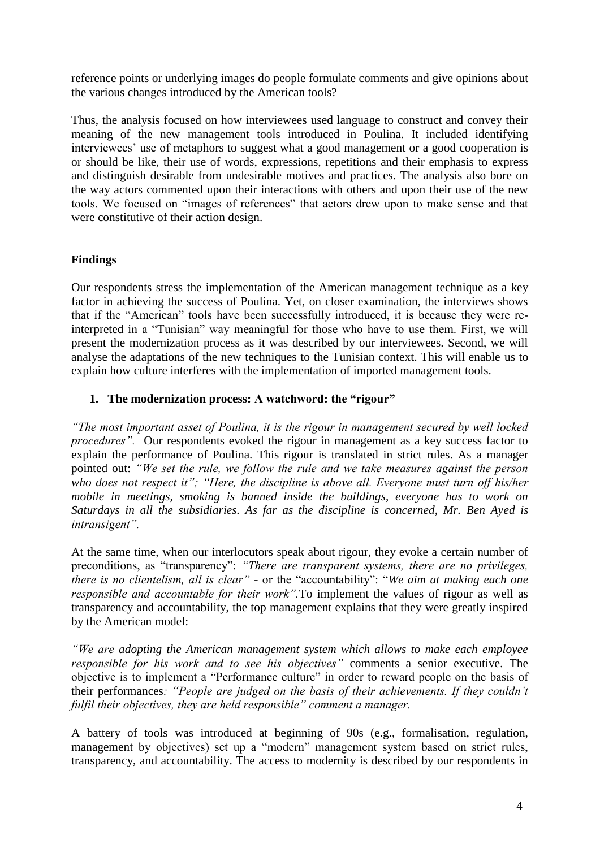reference points or underlying images do people formulate comments and give opinions about the various changes introduced by the American tools?

Thus, the analysis focused on how interviewees used language to construct and convey their meaning of the new management tools introduced in Poulina. It included identifying interviewees' use of metaphors to suggest what a good management or a good cooperation is or should be like, their use of words, expressions, repetitions and their emphasis to express and distinguish desirable from undesirable motives and practices. The analysis also bore on the way actors commented upon their interactions with others and upon their use of the new tools. We focused on "images of references" that actors drew upon to make sense and that were constitutive of their action design.

### **Findings**

Our respondents stress the implementation of the American management technique as a key factor in achieving the success of Poulina. Yet, on closer examination, the interviews shows that if the "American" tools have been successfully introduced, it is because they were reinterpreted in a "Tunisian" way meaningful for those who have to use them. First, we will present the modernization process as it was described by our interviewees. Second, we will analyse the adaptations of the new techniques to the Tunisian context. This will enable us to explain how culture interferes with the implementation of imported management tools.

#### **1. The modernization process: A watchword: the "rigour"**

*"The most important asset of Poulina, it is the rigour in management secured by well locked procedures"*. Our respondents evoked the rigour in management as a key success factor to explain the performance of Poulina. This rigour is translated in strict rules. As a manager pointed out: *"We set the rule, we follow the rule and we take measures against the person who does not respect it"; "Here, the discipline is above all. Everyone must turn off his/her mobile in meetings, smoking is banned inside the buildings, everyone has to work on Saturdays in all the subsidiaries. As far as the discipline is concerned, Mr. Ben Ayed is intransigent".*

At the same time, when our interlocutors speak about rigour, they evoke a certain number of preconditions, as "transparency": "There are transparent systems, there are no privileges, *there is no clientelism, all is clear*" - or the "accountability": "We aim at making each one *responsible and accountable for their work".*To implement the values of rigour as well as transparency and accountability, the top management explains that they were greatly inspired by the American model:

*"We are adopting the American management system which allows to make each employee responsible for his work and to see his objectives"* comments a senior executive. The objective is to implement a "Performance culture" in order to reward people on the basis of their performances*: "People are judged on the basis of their achievements. If they couldn't fulfil their objectives, they are held responsible" comment a manager.*

A battery of tools was introduced at beginning of 90s (e.g., formalisation, regulation, management by objectives) set up a "modern" management system based on strict rules, transparency, and accountability. The access to modernity is described by our respondents in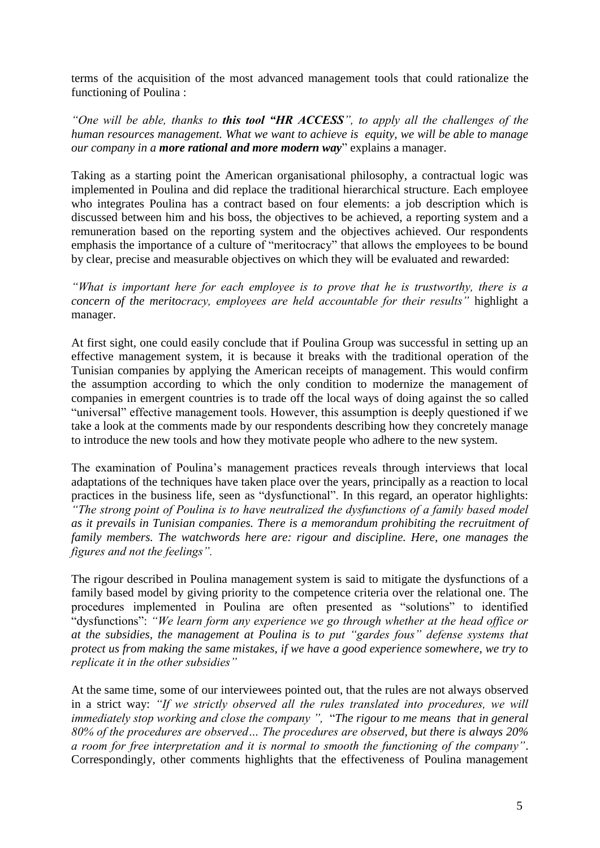terms of the acquisition of the most advanced management tools that could rationalize the functioning of Poulina :

*"One will be able, thanks to this tool "HR ACCESS", to apply all the challenges of the human resources management. What we want to achieve is equity, we will be able to manage our company in a more rational and more modern way*‖ explains a manager.

Taking as a starting point the American organisational philosophy, a contractual logic was implemented in Poulina and did replace the traditional hierarchical structure. Each employee who integrates Poulina has a contract based on four elements: a job description which is discussed between him and his boss, the objectives to be achieved, a reporting system and a remuneration based on the reporting system and the objectives achieved. Our respondents emphasis the importance of a culture of "meritocracy" that allows the employees to be bound by clear, precise and measurable objectives on which they will be evaluated and rewarded:

*"What is important here for each employee is to prove that he is trustworthy, there is a concern of the meritocracy, employees are held accountable for their results"* highlight a manager.

At first sight, one could easily conclude that if Poulina Group was successful in setting up an effective management system, it is because it breaks with the traditional operation of the Tunisian companies by applying the American receipts of management. This would confirm the assumption according to which the only condition to modernize the management of companies in emergent countries is to trade off the local ways of doing against the so called "universal" effective management tools. However, this assumption is deeply questioned if we take a look at the comments made by our respondents describing how they concretely manage to introduce the new tools and how they motivate people who adhere to the new system.

The examination of Poulina's management practices reveals through interviews that local adaptations of the techniques have taken place over the years, principally as a reaction to local practices in the business life, seen as "dysfunctional". In this regard, an operator highlights: *"The strong point of Poulina is to have neutralized the dysfunctions of a family based model as it prevails in Tunisian companies. There is a memorandum prohibiting the recruitment of family members. The watchwords here are: rigour and discipline. Here, one manages the figures and not the feelings".*

The rigour described in Poulina management system is said to mitigate the dysfunctions of a family based model by giving priority to the competence criteria over the relational one. The procedures implemented in Poulina are often presented as "solutions" to identified "dysfunctions": "We learn form any experience we go through whether at the head office or *at the subsidies, the management at Poulina is to put "gardes fous" defense systems that protect us from making the same mistakes, if we have a good experience somewhere, we try to replicate it in the other subsidies"*

At the same time, some of our interviewees pointed out, that the rules are not always observed in a strict way: *"If we strictly observed all the rules translated into procedures, we will*  immediately stop working and close the company ", "The rigour to me means that in general *80% of the procedures are observed… The procedures are observed, but there is always 20% a room for free interpretation and it is normal to smooth the functioning of the company"*. Correspondingly, other comments highlights that the effectiveness of Poulina management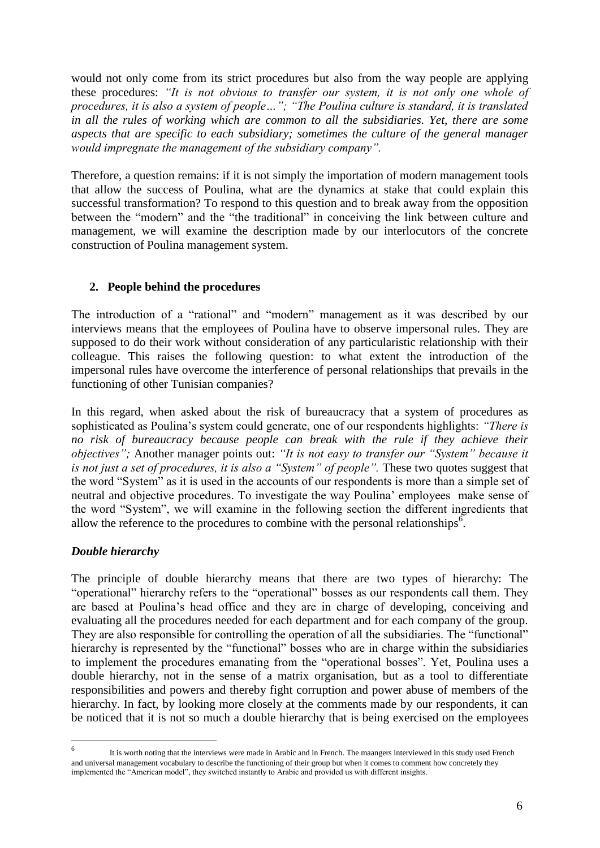would not only come from its strict procedures but also from the way people are applying these procedures: *"It is not obvious to transfer our system, it is not only one whole of procedures, it is also a system of people…"; "The Poulina culture is standard, it is translated in all the rules of working which are common to all the subsidiaries. Yet, there are some aspects that are specific to each subsidiary; sometimes the culture of the general manager would impregnate the management of the subsidiary company".*

Therefore, a question remains: if it is not simply the importation of modern management tools that allow the success of Poulina, what are the dynamics at stake that could explain this successful transformation? To respond to this question and to break away from the opposition between the "modern" and the "the traditional" in conceiving the link between culture and management, we will examine the description made by our interlocutors of the concrete construction of Poulina management system.

## **2. People behind the procedures**

The introduction of a "rational" and "modern" management as it was described by our interviews means that the employees of Poulina have to observe impersonal rules. They are supposed to do their work without consideration of any particularistic relationship with their colleague. This raises the following question: to what extent the introduction of the impersonal rules have overcome the interference of personal relationships that prevails in the functioning of other Tunisian companies?

In this regard, when asked about the risk of bureaucracy that a system of procedures as sophisticated as Poulina's system could generate, one of our respondents highlights: *"There is no risk of bureaucracy because people can break with the rule if they achieve their objectives";* Another manager points out: *"It is not easy to transfer our "System" because it is not just a set of procedures, it is also a "System" of people".* These two quotes suggest that the word "System" as it is used in the accounts of our respondents is more than a simple set of neutral and objective procedures. To investigate the way Poulina' employees make sense of the word "System", we will examine in the following section the different ingredients that allow the reference to the procedures to combine with the personal relationships  $\overline{6}$ .

# *Double hierarchy*

The principle of double hierarchy means that there are two types of hierarchy: The "operational" hierarchy refers to the "operational" bosses as our respondents call them. They are based at Poulina's head office and they are in charge of developing, conceiving and evaluating all the procedures needed for each department and for each company of the group. They are also responsible for controlling the operation of all the subsidiaries. The "functional" hierarchy is represented by the "functional" bosses who are in charge within the subsidiaries to implement the procedures emanating from the "operational bosses". Yet, Poulina uses a double hierarchy, not in the sense of a matrix organisation, but as a tool to differentiate responsibilities and powers and thereby fight corruption and power abuse of members of the hierarchy. In fact, by looking more closely at the comments made by our respondents, it can be noticed that it is not so much a double hierarchy that is being exercised on the employees

 $\frac{1}{6}$ It is worth noting that the interviews were made in Arabic and in French. The maangers interviewed in this study used French and universal management vocabulary to describe the functioning of their group but when it comes to comment how concretely they implemented the "American model", they switched instantly to Arabic and provided us with different insights.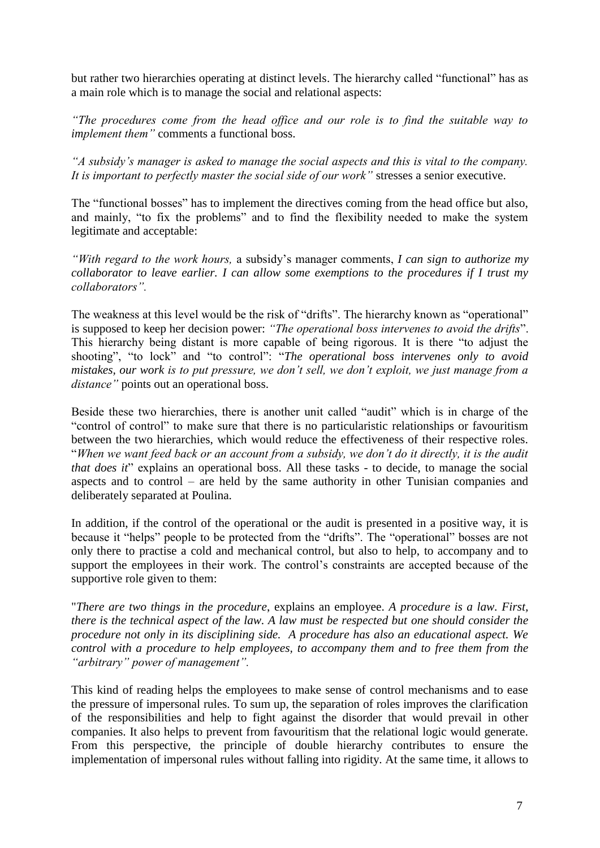but rather two hierarchies operating at distinct levels. The hierarchy called "functional" has as a main role which is to manage the social and relational aspects:

*"The procedures come from the head office and our role is to find the suitable way to implement them"* comments a functional boss.

*"A subsidy's manager is asked to manage the social aspects and this is vital to the company. It is important to perfectly master the social side of our work"* stresses a senior executive.

The "functional bosses" has to implement the directives coming from the head office but also, and mainly, "to fix the problems" and to find the flexibility needed to make the system legitimate and acceptable:

*"With regard to the work hours,* a subsidy's manager comments, *I can sign to authorize my collaborator to leave earlier. I can allow some exemptions to the procedures if I trust my collaborators".*

The weakness at this level would be the risk of "drifts". The hierarchy known as "operational" is supposed to keep her decision power: "The operational boss intervenes to avoid the drifts". This hierarchy being distant is more capable of being rigorous. It is there "to adjust the shooting", "to lock" and "to control": "The operational boss intervenes only to avoid *mistakes, our work is to put pressure, we don't sell, we don't exploit, we just manage from a distance"* points out an operational boss.

Beside these two hierarchies, there is another unit called "audit" which is in charge of the ―control of control‖ to make sure that there is no particularistic relationships or favouritism between the two hierarchies, which would reduce the effectiveness of their respective roles. ―*When we want feed back or an account from a subsidy, we don't do it directly, it is the audit that does it*" explains an operational boss. All these tasks - to decide, to manage the social aspects and to control – are held by the same authority in other Tunisian companies and deliberately separated at Poulina.

In addition, if the control of the operational or the audit is presented in a positive way, it is because it "helps" people to be protected from the "drifts". The "operational" bosses are not only there to practise a cold and mechanical control, but also to help, to accompany and to support the employees in their work. The control's constraints are accepted because of the supportive role given to them:

"*There are two things in the procedure*, explains an employee. *A procedure is a law. First, there is the technical aspect of the law. A law must be respected but one should consider the procedure not only in its disciplining side. A procedure has also an educational aspect. We control with a procedure to help employees, to accompany them and to free them from the "arbitrary" power of management".*

This kind of reading helps the employees to make sense of control mechanisms and to ease the pressure of impersonal rules. To sum up, the separation of roles improves the clarification of the responsibilities and help to fight against the disorder that would prevail in other companies. It also helps to prevent from favouritism that the relational logic would generate. From this perspective, the principle of double hierarchy contributes to ensure the implementation of impersonal rules without falling into rigidity. At the same time, it allows to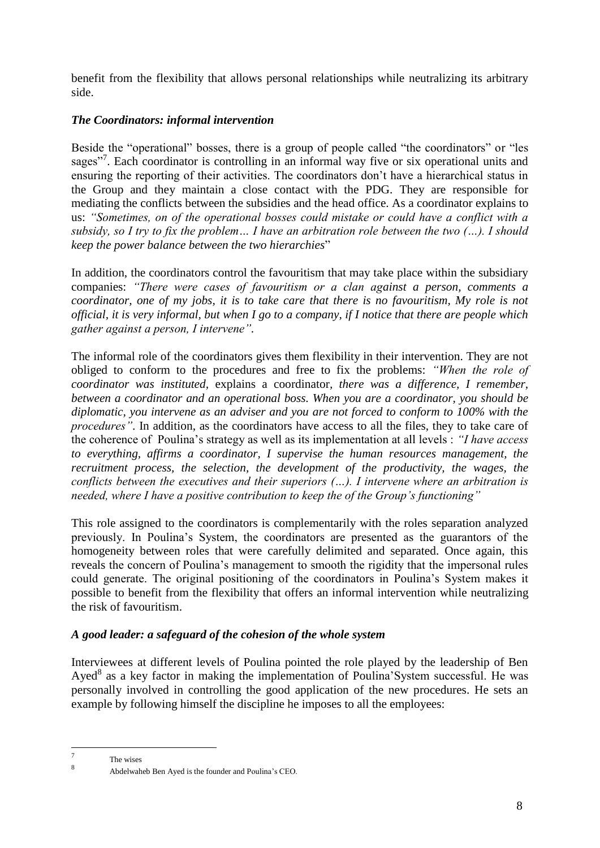benefit from the flexibility that allows personal relationships while neutralizing its arbitrary side.

## *The Coordinators: informal intervention*

Beside the "operational" bosses, there is a group of people called "the coordinators" or "les sages"<sup>7</sup>. Each coordinator is controlling in an informal way five or six operational units and ensuring the reporting of their activities. The coordinators don't have a hierarchical status in the Group and they maintain a close contact with the PDG. They are responsible for mediating the conflicts between the subsidies and the head office. As a coordinator explains to us: *"Sometimes, on of the operational bosses could mistake or could have a conflict with a subsidy, so I try to fix the problem… I have an arbitration role between the two (…). I should keep the power balance between the two hierarchies*‖

In addition, the coordinators control the favouritism that may take place within the subsidiary companies: *"There were cases of favouritism or a clan against a person, comments a coordinator, one of my jobs, it is to take care that there is no favouritism, My role is not official, it is very informal, but when I go to a company, if I notice that there are people which gather against a person, I intervene".*

The informal role of the coordinators gives them flexibility in their intervention. They are not obliged to conform to the procedures and free to fix the problems: *"When the role of coordinator was instituted,* explains a coordinator*, there was a difference, I remember, between a coordinator and an operational boss. When you are a coordinator, you should be diplomatic, you intervene as an adviser and you are not forced to conform to 100% with the procedures"*. In addition, as the coordinators have access to all the files, they to take care of the coherence of Poulina's strategy as well as its implementation at all levels : *"I have access to everything, affirms a coordinator, I supervise the human resources management, the recruitment process, the selection, the development of the productivity, the wages, the conflicts between the executives and their superiors (…). I intervene where an arbitration is needed, where I have a positive contribution to keep the of the Group's functioning"*

This role assigned to the coordinators is complementarily with the roles separation analyzed previously. In Poulina's System, the coordinators are presented as the guarantors of the homogeneity between roles that were carefully delimited and separated. Once again, this reveals the concern of Poulina's management to smooth the rigidity that the impersonal rules could generate. The original positioning of the coordinators in Poulina's System makes it possible to benefit from the flexibility that offers an informal intervention while neutralizing the risk of favouritism.

### *A good leader: a safeguard of the cohesion of the whole system*

Interviewees at different levels of Poulina pointed the role played by the leadership of Ben Ayed<sup>8</sup> as a key factor in making the implementation of Poulina'System successful. He was personally involved in controlling the good application of the new procedures. He sets an example by following himself the discipline he imposes to all the employees:

<sup>—&</sup>lt;br>7 The wises 8

Abdelwaheb Ben Ayed is the founder and Poulina's CEO.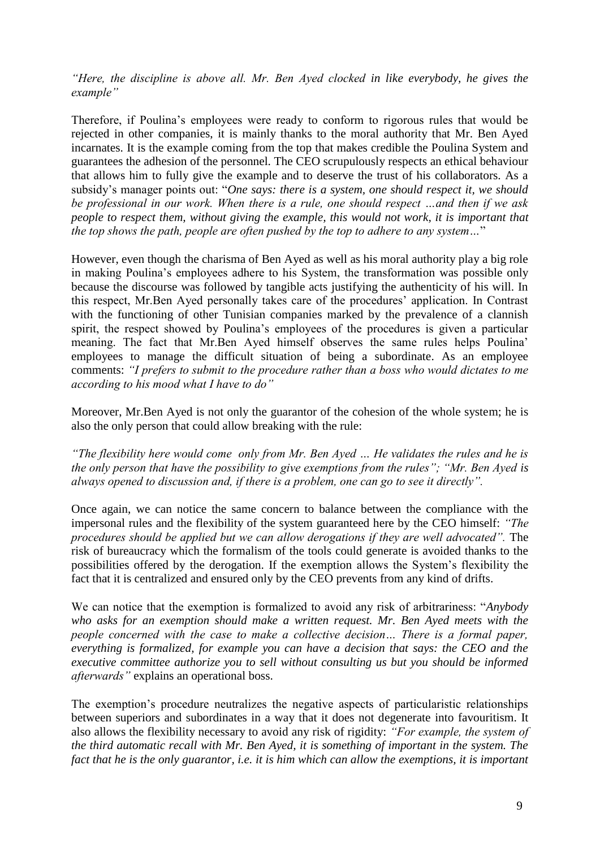*"Here, the discipline is above all. Mr. Ben Ayed clocked in like everybody, he gives the example"*

Therefore, if Poulina's employees were ready to conform to rigorous rules that would be rejected in other companies, it is mainly thanks to the moral authority that Mr. Ben Ayed incarnates. It is the example coming from the top that makes credible the Poulina System and guarantees the adhesion of the personnel. The CEO scrupulously respects an ethical behaviour that allows him to fully give the example and to deserve the trust of his collaborators. As a subsidy's manager points out: "One says: there is a system, one should respect it, we should *be professional in our work. When there is a rule, one should respect …and then if we ask people to respect them, without giving the example, this would not work, it is important that the top shows the path, people are often pushed by the top to adhere to any system...*"

However, even though the charisma of Ben Ayed as well as his moral authority play a big role in making Poulina's employees adhere to his System, the transformation was possible only because the discourse was followed by tangible acts justifying the authenticity of his will. In this respect, Mr.Ben Ayed personally takes care of the procedures' application. In Contrast with the functioning of other Tunisian companies marked by the prevalence of a clannish spirit, the respect showed by Poulina's employees of the procedures is given a particular meaning. The fact that Mr.Ben Ayed himself observes the same rules helps Poulina' employees to manage the difficult situation of being a subordinate. As an employee comments: *"I prefers to submit to the procedure rather than a boss who would dictates to me according to his mood what I have to do"*

Moreover, Mr.Ben Ayed is not only the guarantor of the cohesion of the whole system; he is also the only person that could allow breaking with the rule:

*"The flexibility here would come only from Mr. Ben Ayed … He validates the rules and he is the only person that have the possibility to give exemptions from the rules"; "Mr. Ben Ayed is always opened to discussion and, if there is a problem, one can go to see it directly".*

Once again, we can notice the same concern to balance between the compliance with the impersonal rules and the flexibility of the system guaranteed here by the CEO himself: *"The procedures should be applied but we can allow derogations if they are well advocated".* The risk of bureaucracy which the formalism of the tools could generate is avoided thanks to the possibilities offered by the derogation. If the exemption allows the System's flexibility the fact that it is centralized and ensured only by the CEO prevents from any kind of drifts.

We can notice that the exemption is formalized to avoid any risk of arbitrariness: "*Anybody who asks for an exemption should make a written request. Mr. Ben Ayed meets with the people concerned with the case to make a collective decision… There is a formal paper, everything is formalized, for example you can have a decision that says: the CEO and the executive committee authorize you to sell without consulting us but you should be informed afterwards"* explains an operational boss.

The exemption's procedure neutralizes the negative aspects of particularistic relationships between superiors and subordinates in a way that it does not degenerate into favouritism. It also allows the flexibility necessary to avoid any risk of rigidity: *"For example, the system of the third automatic recall with Mr. Ben Ayed, it is something of important in the system. The fact that he is the only guarantor, i.e. it is him which can allow the exemptions, it is important*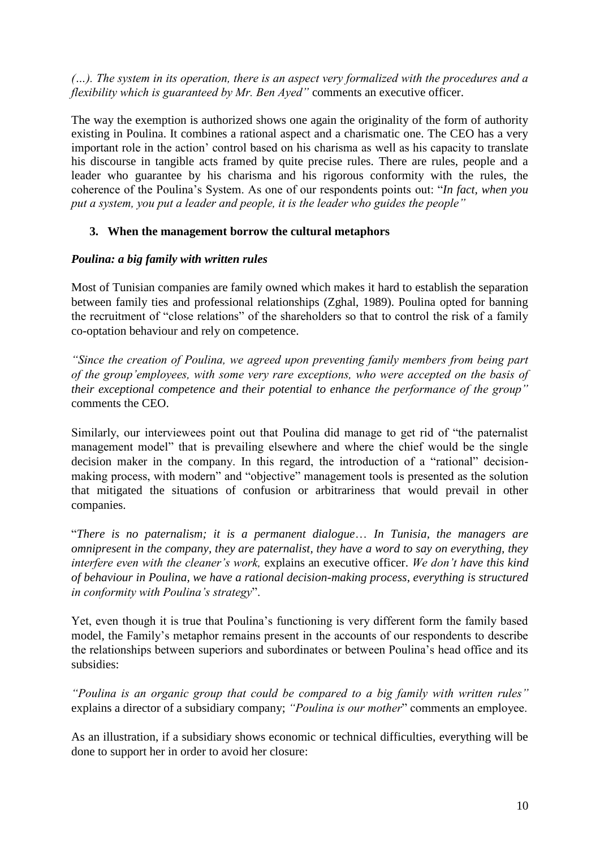*(…). The system in its operation, there is an aspect very formalized with the procedures and a flexibility which is guaranteed by Mr. Ben Ayed"* comments an executive officer.

The way the exemption is authorized shows one again the originality of the form of authority existing in Poulina. It combines a rational aspect and a charismatic one. The CEO has a very important role in the action' control based on his charisma as well as his capacity to translate his discourse in tangible acts framed by quite precise rules. There are rules, people and a leader who guarantee by his charisma and his rigorous conformity with the rules, the coherence of the Poulina's System. As one of our respondents points out: "*In fact, when you put a system, you put a leader and people, it is the leader who guides the people"*

## **3. When the management borrow the cultural metaphors**

### *Poulina: a big family with written rules*

Most of Tunisian companies are family owned which makes it hard to establish the separation between family ties and professional relationships (Zghal, 1989). Poulina opted for banning the recruitment of "close relations" of the shareholders so that to control the risk of a family co-optation behaviour and rely on competence.

*"Since the creation of Poulina, we agreed upon preventing family members from being part of the group'employees, with some very rare exceptions, who were accepted on the basis of their exceptional competence and their potential to enhance the performance of the group"* comments the CEO.

Similarly, our interviewees point out that Poulina did manage to get rid of "the paternalist" management model" that is prevailing elsewhere and where the chief would be the single decision maker in the company. In this regard, the introduction of a "rational" decisionmaking process, with modern" and "objective" management tools is presented as the solution that mitigated the situations of confusion or arbitrariness that would prevail in other companies.

―*There is no paternalism; it is a permanent dialogue*… *In Tunisia, the managers are omnipresent in the company, they are paternalist, they have a word to say on everything, they interfere even with the cleaner's work,* explains an executive officer. *We don't have this kind of behaviour in Poulina, we have a rational decision-making process, everything is structured in conformity with Poulina's strategy*".

Yet, even though it is true that Poulina's functioning is very different form the family based model, the Family's metaphor remains present in the accounts of our respondents to describe the relationships between superiors and subordinates or between Poulina's head office and its subsidies:

*"Poulina is an organic group that could be compared to a big family with written rules"* explains a director of a subsidiary company; "Poulina is our mother" comments an employee.

As an illustration, if a subsidiary shows economic or technical difficulties, everything will be done to support her in order to avoid her closure: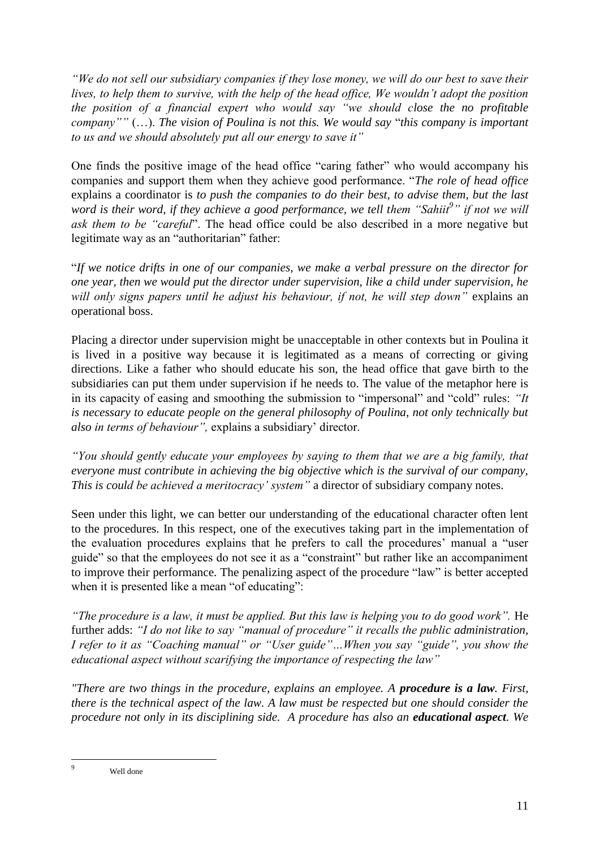*"We do not sell our subsidiary companies if they lose money, we will do our best to save their lives, to help them to survive, with the help of the head office, We wouldn't adopt the position the position of a financial expert who would say "we should close the no profitable company""* (...). The vision of Poulina is not this. We would say "this company is important *to us and we should absolutely put all our energy to save it"*

One finds the positive image of the head office "caring father" who would accompany his companies and support them when they achieve good performance. "The role of head office explains a coordinator is *to push the companies to do their best, to advise them, but the last word is their word, if they achieve a good performance, we tell them "Sahiit<sup>9</sup> " if not we will ask them to be "careful*". The head office could be also described in a more negative but legitimate way as an "authoritarian" father:

―*If we notice drifts in one of our companies, we make a verbal pressure on the director for one year, then we would put the director under supervision, like a child under supervision, he will only signs papers until he adjust his behaviour, if not, he will step down"* explains an operational boss.

Placing a director under supervision might be unacceptable in other contexts but in Poulina it is lived in a positive way because it is legitimated as a means of correcting or giving directions. Like a father who should educate his son, the head office that gave birth to the subsidiaries can put them under supervision if he needs to. The value of the metaphor here is in its capacity of easing and smoothing the submission to "impersonal" and "cold" rules: "*It is necessary to educate people on the general philosophy of Poulina, not only technically but also in terms of behaviour",* explains a subsidiary' director.

*"You should gently educate your employees by saying to them that we are a big family, that everyone must contribute in achieving the big objective which is the survival of our company, This is could be achieved a meritocracy' system"* a director of subsidiary company notes.

Seen under this light, we can better our understanding of the educational character often lent to the procedures. In this respect, one of the executives taking part in the implementation of the evaluation procedures explains that he prefers to call the procedures' manual a "user guide" so that the employees do not see it as a "constraint" but rather like an accompaniment to improve their performance. The penalizing aspect of the procedure "law" is better accepted when it is presented like a mean "of educating":

*"The procedure is a law, it must be applied. But this law is helping you to do good work".* He further adds: *"I do not like to say "manual of procedure" it recalls the public administration, I refer to it as "Coaching manual" or "User guide"…When you say "guide", you show the educational aspect without scarifying the importance of respecting the law"*

*"There are two things in the procedure, explains an employee. A procedure is a law. First, there is the technical aspect of the law. A law must be respected but one should consider the procedure not only in its disciplining side. A procedure has also an educational aspect. We* 

<u>.</u>

Well done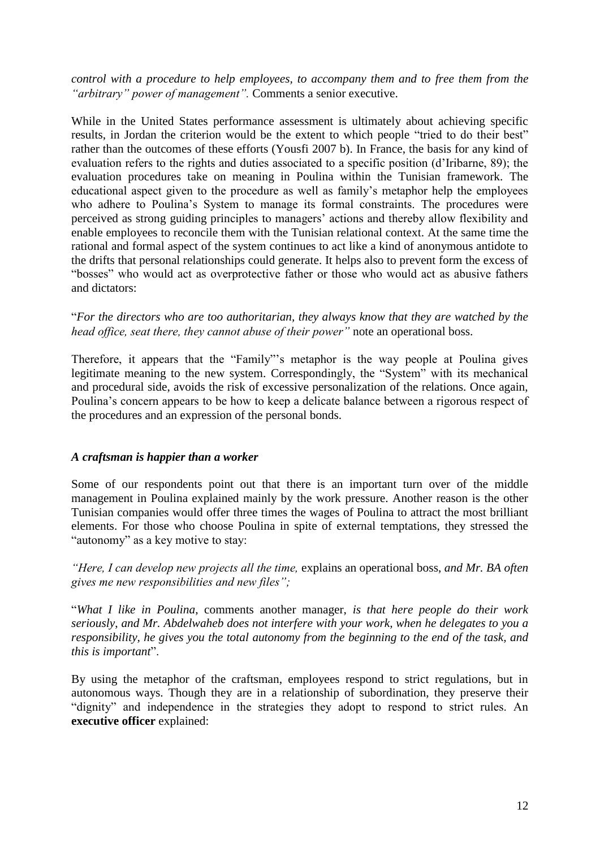*control with a procedure to help employees, to accompany them and to free them from the "arbitrary" power of management".* Comments a senior executive.

While in the United States performance assessment is ultimately about achieving specific results, in Jordan the criterion would be the extent to which people "tried to do their best" rather than the outcomes of these efforts (Yousfi 2007 b). In France, the basis for any kind of evaluation refers to the rights and duties associated to a specific position (d'Iribarne, 89); the evaluation procedures take on meaning in Poulina within the Tunisian framework. The educational aspect given to the procedure as well as family's metaphor help the employees who adhere to Poulina's System to manage its formal constraints. The procedures were perceived as strong guiding principles to managers' actions and thereby allow flexibility and enable employees to reconcile them with the Tunisian relational context. At the same time the rational and formal aspect of the system continues to act like a kind of anonymous antidote to the drifts that personal relationships could generate. It helps also to prevent form the excess of "bosses" who would act as overprotective father or those who would act as abusive fathers and dictators:

―*For the directors who are too authoritarian, they always know that they are watched by the head office, seat there, they cannot abuse of their power"* note an operational boss.

Therefore, it appears that the "Family"'s metaphor is the way people at Poulina gives legitimate meaning to the new system. Correspondingly, the "System" with its mechanical and procedural side, avoids the risk of excessive personalization of the relations. Once again, Poulina's concern appears to be how to keep a delicate balance between a rigorous respect of the procedures and an expression of the personal bonds.

#### *A craftsman is happier than a worker*

Some of our respondents point out that there is an important turn over of the middle management in Poulina explained mainly by the work pressure. Another reason is the other Tunisian companies would offer three times the wages of Poulina to attract the most brilliant elements. For those who choose Poulina in spite of external temptations, they stressed the "autonomy" as a key motive to stay:

*"Here, I can develop new projects all the time,* explains an operational boss, *and Mr. BA often gives me new responsibilities and new files";*

―*What I like in Poulina*, comments another manager, *is that here people do their work seriously*, *and Mr. Abdelwaheb does not interfere with your work, when he delegates to you a responsibility, he gives you the total autonomy from the beginning to the end of the task, and this is important*".

By using the metaphor of the craftsman, employees respond to strict regulations, but in autonomous ways. Though they are in a relationship of subordination, they preserve their "dignity" and independence in the strategies they adopt to respond to strict rules. An **executive officer** explained: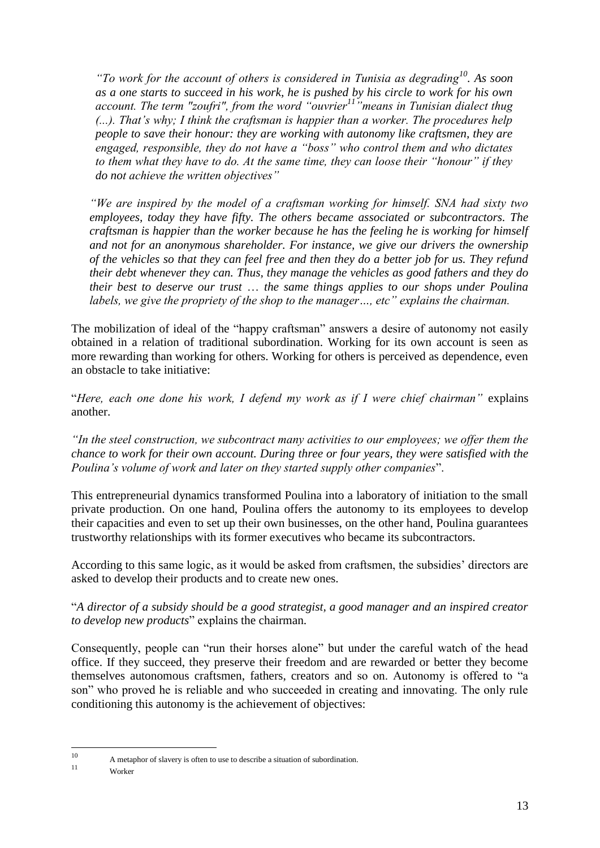*"To work for the account of others is considered in Tunisia as degrading<sup>10</sup>. As soon as a one starts to succeed in his work, he is pushed by his circle to work for his own account. The term "zoufri", from the word "ouvrier<sup>11</sup>"means in Tunisian dialect thug (...). That's why; I think the craftsman is happier than a worker. The procedures help people to save their honour: they are working with autonomy like craftsmen, they are engaged, responsible, they do not have a "boss" who control them and who dictates to them what they have to do. At the same time, they can loose their "honour" if they do not achieve the written objectives"*

*"We are inspired by the model of a craftsman working for himself. SNA had sixty two employees, today they have fifty. The others became associated or subcontractors. The craftsman is happier than the worker because he has the feeling he is working for himself and not for an anonymous shareholder. For instance, we give our drivers the ownership of the vehicles so that they can feel free and then they do a better job for us. They refund their debt whenever they can. Thus, they manage the vehicles as good fathers and they do their best to deserve our trust* … *the same things applies to our shops under Poulina labels, we give the propriety of the shop to the manager…, etc" explains the chairman.*

The mobilization of ideal of the "happy craftsman" answers a desire of autonomy not easily obtained in a relation of traditional subordination. Working for its own account is seen as more rewarding than working for others. Working for others is perceived as dependence, even an obstacle to take initiative:

―*Here, each one done his work, I defend my work as if I were chief chairman"* explains another.

*"In the steel construction, we subcontract many activities to our employees; we offer them the chance to work for their own account. During three or four years, they were satisfied with the Poulina's volume of work and later on they started supply other companies"*.

This entrepreneurial dynamics transformed Poulina into a laboratory of initiation to the small private production. On one hand, Poulina offers the autonomy to its employees to develop their capacities and even to set up their own businesses, on the other hand, Poulina guarantees trustworthy relationships with its former executives who became its subcontractors.

According to this same logic, as it would be asked from craftsmen, the subsidies' directors are asked to develop their products and to create new ones.

―*A director of a subsidy should be a good strategist, a good manager and an inspired creator to develop new products*" explains the chairman.

Consequently, people can "run their horses alone" but under the careful watch of the head office. If they succeed, they preserve their freedom and are rewarded or better they become themselves autonomous craftsmen, fathers, creators and so on. Autonomy is offered to "a son" who proved he is reliable and who succeeded in creating and innovating. The only rule conditioning this autonomy is the achievement of objectives:

 $10$ <sup>10</sup> A metaphor of slavery is often to use to describe a situation of subordination.

Worker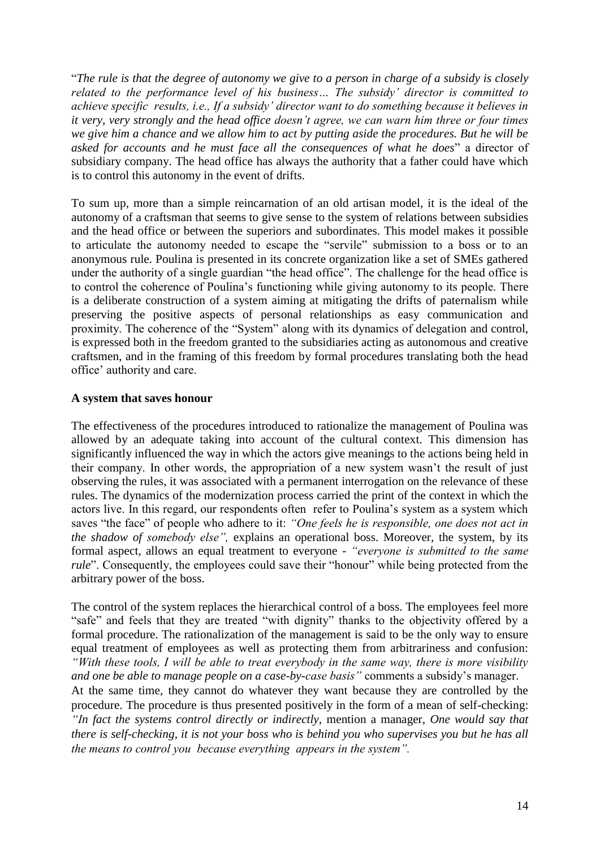―*The rule is that the degree of autonomy we give to a person in charge of a subsidy is closely related to the performance level of his business… The subsidy' director is committed to achieve specific results, i.e., If a subsidy' director want to do something because it believes in it very, very strongly and the head office doesn't agree, we can warn him three or four times we give him a chance and we allow him to act by putting aside the procedures. But he will be asked for accounts and he must face all the consequences of what he does*" a director of subsidiary company. The head office has always the authority that a father could have which is to control this autonomy in the event of drifts.

To sum up, more than a simple reincarnation of an old artisan model, it is the ideal of the autonomy of a craftsman that seems to give sense to the system of relations between subsidies and the head office or between the superiors and subordinates. This model makes it possible to articulate the autonomy needed to escape the "servile" submission to a boss or to an anonymous rule. Poulina is presented in its concrete organization like a set of SMEs gathered under the authority of a single guardian "the head office". The challenge for the head office is to control the coherence of Poulina's functioning while giving autonomy to its people. There is a deliberate construction of a system aiming at mitigating the drifts of paternalism while preserving the positive aspects of personal relationships as easy communication and proximity. The coherence of the "System" along with its dynamics of delegation and control, is expressed both in the freedom granted to the subsidiaries acting as autonomous and creative craftsmen, and in the framing of this freedom by formal procedures translating both the head office' authority and care.

#### **A system that saves honour**

The effectiveness of the procedures introduced to rationalize the management of Poulina was allowed by an adequate taking into account of the cultural context. This dimension has significantly influenced the way in which the actors give meanings to the actions being held in their company. In other words, the appropriation of a new system wasn't the result of just observing the rules, it was associated with a permanent interrogation on the relevance of these rules. The dynamics of the modernization process carried the print of the context in which the actors live. In this regard, our respondents often refer to Poulina's system as a system which saves "the face" of people who adhere to it: "One feels he is responsible, one does not act in *the shadow of somebody else",* explains an operational boss. Moreover, the system, by its formal aspect, allows an equal treatment to everyone - *"everyone is submitted to the same rule*". Consequently, the employees could save their "honour" while being protected from the arbitrary power of the boss.

The control of the system replaces the hierarchical control of a boss. The employees feel more "safe" and feels that they are treated "with dignity" thanks to the objectivity offered by a formal procedure. The rationalization of the management is said to be the only way to ensure equal treatment of employees as well as protecting them from arbitrariness and confusion: *"With these tools, I will be able to treat everybody in the same way, there is more visibility and one be able to manage people on a case-by-case basis"* comments a subsidy's manager.

At the same time, they cannot do whatever they want because they are controlled by the procedure. The procedure is thus presented positively in the form of a mean of self-checking: *"In fact the systems control directly or indirectly,* mention a manager*, One would say that there is self-checking, it is not your boss who is behind you who supervises you but he has all the means to control you because everything appears in the system".*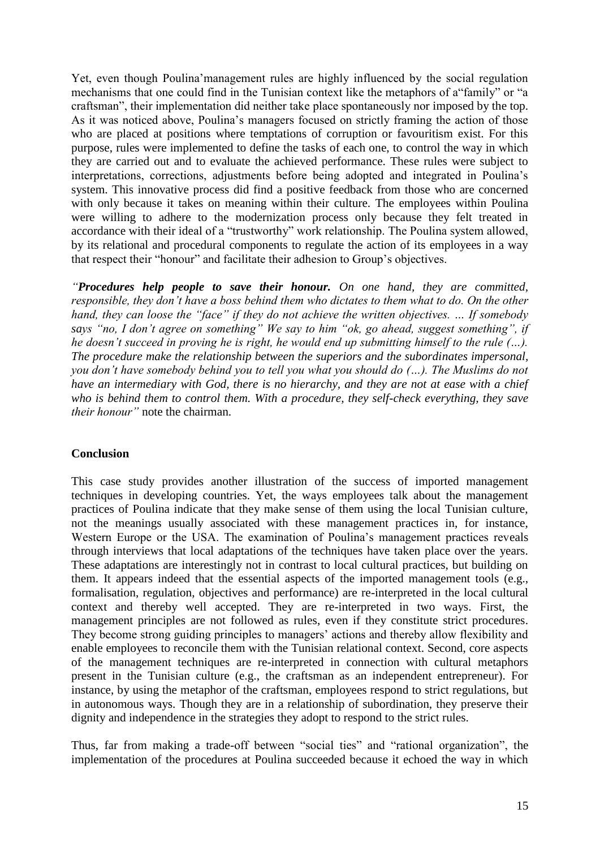Yet, even though Poulina'management rules are highly influenced by the social regulation mechanisms that one could find in the Tunisian context like the metaphors of a "family" or "a craftsman", their implementation did neither take place spontaneously nor imposed by the top. As it was noticed above, Poulina's managers focused on strictly framing the action of those who are placed at positions where temptations of corruption or favouritism exist. For this purpose, rules were implemented to define the tasks of each one, to control the way in which they are carried out and to evaluate the achieved performance. These rules were subject to interpretations, corrections, adjustments before being adopted and integrated in Poulina's system. This innovative process did find a positive feedback from those who are concerned with only because it takes on meaning within their culture. The employees within Poulina were willing to adhere to the modernization process only because they felt treated in accordance with their ideal of a "trustworthy" work relationship. The Poulina system allowed, by its relational and procedural components to regulate the action of its employees in a way that respect their "honour" and facilitate their adhesion to Group's objectives.

*"Procedures help people to save their honour. On one hand, they are committed, responsible, they don't have a boss behind them who dictates to them what to do. On the other hand, they can loose the "face" if they do not achieve the written objectives. … If somebody says "no, I don't agree on something" We say to him "ok, go ahead, suggest something", if he doesn't succeed in proving he is right, he would end up submitting himself to the rule (…). The procedure make the relationship between the superiors and the subordinates impersonal, you don't have somebody behind you to tell you what you should do (…). The Muslims do not have an intermediary with God, there is no hierarchy, and they are not at ease with a chief who is behind them to control them. With a procedure, they self-check everything, they save their honour"* note the chairman.

#### **Conclusion**

This case study provides another illustration of the success of imported management techniques in developing countries. Yet, the ways employees talk about the management practices of Poulina indicate that they make sense of them using the local Tunisian culture, not the meanings usually associated with these management practices in, for instance, Western Europe or the USA. The examination of Poulina's management practices reveals through interviews that local adaptations of the techniques have taken place over the years. These adaptations are interestingly not in contrast to local cultural practices, but building on them. It appears indeed that the essential aspects of the imported management tools (e.g., formalisation, regulation, objectives and performance) are re-interpreted in the local cultural context and thereby well accepted. They are re-interpreted in two ways. First, the management principles are not followed as rules, even if they constitute strict procedures. They become strong guiding principles to managers' actions and thereby allow flexibility and enable employees to reconcile them with the Tunisian relational context. Second, core aspects of the management techniques are re-interpreted in connection with cultural metaphors present in the Tunisian culture (e.g., the craftsman as an independent entrepreneur). For instance, by using the metaphor of the craftsman, employees respond to strict regulations, but in autonomous ways. Though they are in a relationship of subordination, they preserve their dignity and independence in the strategies they adopt to respond to the strict rules.

Thus, far from making a trade-off between "social ties" and "rational organization", the implementation of the procedures at Poulina succeeded because it echoed the way in which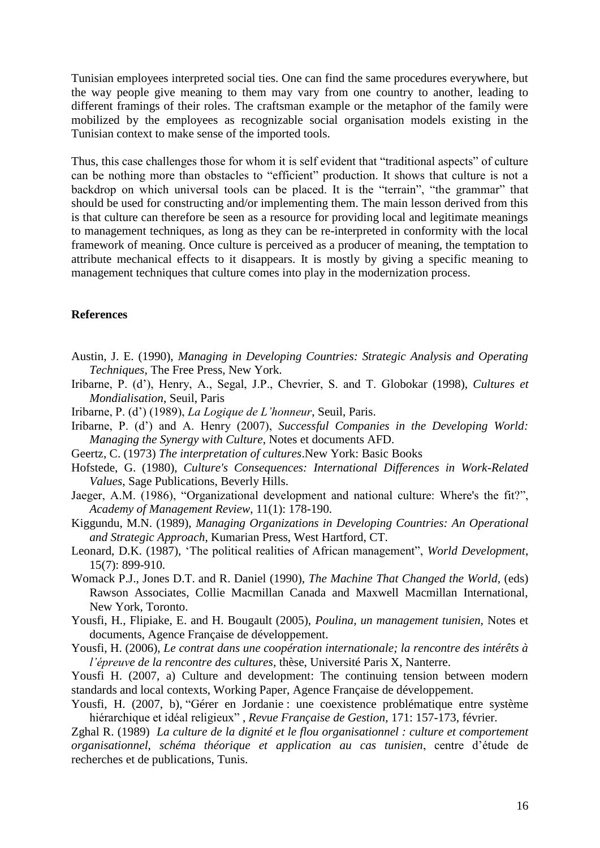Tunisian employees interpreted social ties. One can find the same procedures everywhere, but the way people give meaning to them may vary from one country to another, leading to different framings of their roles. The craftsman example or the metaphor of the family were mobilized by the employees as recognizable social organisation models existing in the Tunisian context to make sense of the imported tools.

Thus, this case challenges those for whom it is self evident that "traditional aspects" of culture can be nothing more than obstacles to "efficient" production. It shows that culture is not a backdrop on which universal tools can be placed. It is the "terrain", "the grammar" that should be used for constructing and/or implementing them. The main lesson derived from this is that culture can therefore be seen as a resource for providing local and legitimate meanings to management techniques, as long as they can be re-interpreted in conformity with the local framework of meaning. Once culture is perceived as a producer of meaning, the temptation to attribute mechanical effects to it disappears. It is mostly by giving a specific meaning to management techniques that culture comes into play in the modernization process.

#### **References**

- Austin, J. E. (1990), *Managing in Developing Countries: Strategic Analysis and Operating Techniques*, The Free Press, New York.
- Iribarne, P. (d'), Henry, A., Segal, J.P., Chevrier, S. and T. Globokar (1998), *Cultures et Mondialisation*, Seuil, Paris
- Iribarne, P. (d') (1989), *La Logique de L'honneur*, Seuil, Paris.
- Iribarne, P. (d') and A. Henry (2007), *Successful Companies in the Developing World: Managing the Synergy with Culture*, Notes et documents AFD.
- Geertz, C. (1973) *The interpretation of cultures*.New York: Basic Books
- Hofstede, G. (1980), *Culture's Consequences: International Differences in Work-Related Values*, Sage Publications, Beverly Hills.
- Jaeger, A.M. (1986), "Organizational development and national culture: Where's the fit?", *Academy of Management Review*, 11(1): 178-190.
- Kiggundu, M.N. (1989), *Managing Organizations in Developing Countries: An Operational and Strategic Approach*, Kumarian Press, West Hartford, CT.
- Leonard, D.K. (1987), 'The political realities of African management'', *World Development*, 15(7): 899-910.
- Womack P.J., Jones D.T. and R. Daniel (1990), *The Machine That Changed the World,* (eds) Rawson Associates, Collie Macmillan Canada and Maxwell Macmillan International, New York, Toronto.
- Yousfi, H., Flipiake, E. and H. Bougault (2005), *Poulina, un management tunisien,* Notes et documents, Agence Française de développement.
- Yousfi, H. (2006), *Le contrat dans une coopération internationale; la rencontre des intérêts à l'épreuve de la rencontre des cultures,* thèse, Université Paris X, Nanterre.

Yousfi H. (2007, a) Culture and development: The continuing tension between modern standards and local contexts, Working Paper, Agence Française de développement.

Yousfi, H. (2007, b), "Gérer en Jordanie : une coexistence problématique entre système hiérarchique et idéal religieux‖ , *Revue Française de Gestion*, 171: 157-173, février.

Zghal R. (1989) *La culture de la dignité et le flou organisationnel : culture et comportement organisationnel, schéma théorique et application au cas tunisien*, centre d'étude de recherches et de publications, Tunis.